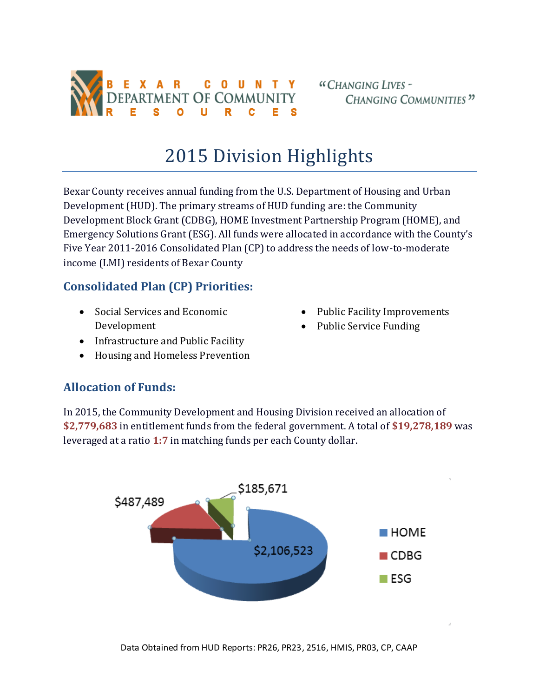

## 2015 Division Highlights

Bexar County receives annual funding from the U.S. Department of Housing and Urban Development (HUD). The primary streams of HUD funding are: the Community Development Block Grant (CDBG), HOME Investment Partnership Program (HOME), and Emergency Solutions Grant (ESG). All funds were allocated in accordance with the County's Five Year 2011-2016 Consolidated Plan (CP) to address the needs of low-to-moderate income (LMI) residents of Bexar County

## **Consolidated Plan (CP) Priorities:**

• Social Services and Economic Development

- Public Facility Improvements
- Public Service Funding
- Infrastructure and Public Facility
- Housing and Homeless Prevention

## **Allocation of Funds:**

In 2015, the Community Development and Housing Division received an allocation of **\$2,779,683** in entitlement funds from the federal government. A total of **\$19,278,189** was leveraged at a ratio **1:7** in matching funds per each County dollar.